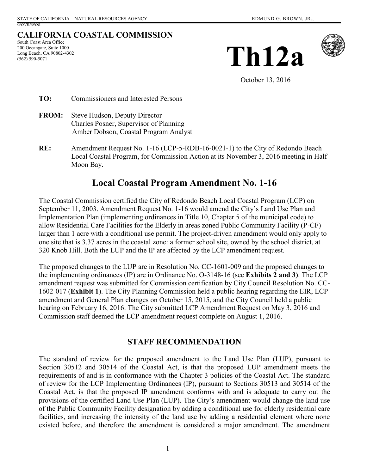# **CALIFORNIA COASTAL COMMISSION**

South Coast Area Office 200 Oceangate, Suite 1000 Long Beach, CA 90802-4302 (562) 590-5071





October 13, 2016

- **TO:** Commissioners and Interested Persons
- **FROM:** Steve Hudson, Deputy Director Charles Posner, Supervisor of Planning Amber Dobson, Coastal Program Analyst
- **RE:** Amendment Request No. 1-16 (LCP-5-RDB-16-0021-1) to the City of Redondo Beach Local Coastal Program, for Commission Action at its November 3, 2016 meeting in Half Moon Bay.

# **Local Coastal Program Amendment No. 1-16**

The Coastal Commission certified the City of Redondo Beach Local Coastal Program (LCP) on September 11, 2003. Amendment Request No. 1-16 would amend the City's Land Use Plan and Implementation Plan (implementing ordinances in Title 10, Chapter 5 of the municipal code) to allow Residential Care Facilities for the Elderly in areas zoned Public Community Facility (P-CF) larger than 1 acre with a conditional use permit. The project-driven amendment would only apply to one site that is 3.37 acres in the coastal zone: a former school site, owned by the school district, at 320 Knob Hill. Both the LUP and the IP are affected by the LCP amendment request.

The proposed changes to the LUP are in Resolution No. CC-1601-009 and the proposed changes to the implementing ordinances (IP) are in Ordinance No. O-3148-16 (see **Exhibits 2 and 3)**. The LCP amendment request was submitted for Commission certification by City Council Resolution No. CC-1602-017 (**Exhibit 1**). The City Planning Commission held a public hearing regarding the EIR, LCP amendment and General Plan changes on October 15, 2015, and the City Council held a public hearing on February 16, 2016. The City submitted LCP Amendment Request on May 3, 2016 and Commission staff deemed the LCP amendment request complete on August 1, 2016.

# **STAFF RECOMMENDATION**

The standard of review for the proposed amendment to the Land Use Plan (LUP), pursuant to Section 30512 and 30514 of the Coastal Act, is that the proposed LUP amendment meets the requirements of and is in conformance with the Chapter 3 policies of the Coastal Act. The standard of review for the LCP Implementing Ordinances (IP), pursuant to Sections 30513 and 30514 of the Coastal Act, is that the proposed IP amendment conforms with and is adequate to carry out the provisions of the certified Land Use Plan (LUP). The City's amendment would change the land use of the Public Community Facility designation by adding a conditional use for elderly residential care facilities, and increasing the intensity of the land use by adding a residential element where none existed before, and therefore the amendment is considered a major amendment. The amendment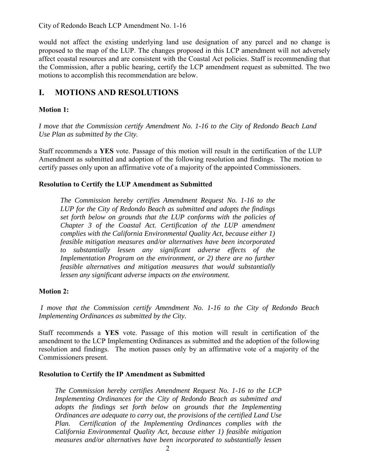City of Redondo Beach LCP Amendment No. 1-16

would not affect the existing underlying land use designation of any parcel and no change is proposed to the map of the LUP. The changes proposed in this LCP amendment will not adversely affect coastal resources and are consistent with the Coastal Act policies. Staff is recommending that the Commission, after a public hearing, certify the LCP amendment request as submitted. The two motions to accomplish this recommendation are below.

# **I. MOTIONS AND RESOLUTIONS**

### **Motion 1:**

*I move that the Commission certify Amendment No. 1-16 to the City of Redondo Beach Land Use Plan as submitted by the City.* 

Staff recommends a **YES** vote. Passage of this motion will result in the certification of the LUP Amendment as submitted and adoption of the following resolution and findings. The motion to certify passes only upon an affirmative vote of a majority of the appointed Commissioners.

### **Resolution to Certify the LUP Amendment as Submitted**

*The Commission hereby certifies Amendment Request No. 1-16 to the LUP for the City of Redondo Beach as submitted and adopts the findings set forth below on grounds that the LUP conforms with the policies of Chapter 3 of the Coastal Act. Certification of the LUP amendment complies with the California Environmental Quality Act, because either 1) feasible mitigation measures and/or alternatives have been incorporated to substantially lessen any significant adverse effects of the Implementation Program on the environment, or 2) there are no further feasible alternatives and mitigation measures that would substantially lessen any significant adverse impacts on the environment.* 

### **Motion 2:**

 *I move that the Commission certify Amendment No. 1-16 to the City of Redondo Beach Implementing Ordinances as submitted by the City.* 

Staff recommends a **YES** vote. Passage of this motion will result in certification of the amendment to the LCP Implementing Ordinances as submitted and the adoption of the following resolution and findings. The motion passes only by an affirmative vote of a majority of the Commissioners present.

#### **Resolution to Certify the IP Amendment as Submitted**

*The Commission hereby certifies Amendment Request No. 1-16 to the LCP Implementing Ordinances for the City of Redondo Beach as submitted and adopts the findings set forth below on grounds that the Implementing Ordinances are adequate to carry out, the provisions of the certified Land Use Plan. Certification of the Implementing Ordinances complies with the California Environmental Quality Act, because either 1) feasible mitigation measures and/or alternatives have been incorporated to substantially lessen*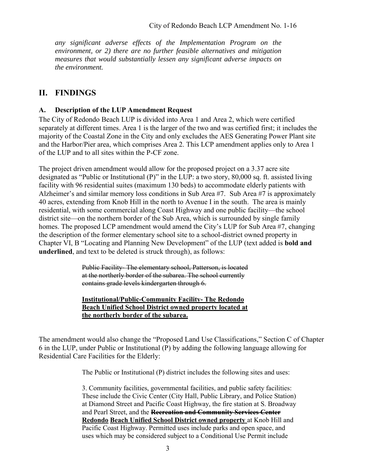*any significant adverse effects of the Implementation Program on the environment, or 2) there are no further feasible alternatives and mitigation measures that would substantially lessen any significant adverse impacts on the environment.* 

# **II. FINDINGS**

## **A. Description of the LUP Amendment Request**

The City of Redondo Beach LUP is divided into Area 1 and Area 2, which were certified separately at different times. Area 1 is the larger of the two and was certified first; it includes the majority of the Coastal Zone in the City and only excludes the AES Generating Power Plant site and the Harbor/Pier area, which comprises Area 2. This LCP amendment applies only to Area 1 of the LUP and to all sites within the P-CF zone.

The project driven amendment would allow for the proposed project on a 3.37 acre site designated as "Public or Institutional (P)" in the LUP: a two story, 80,000 sq. ft. assisted living facility with 96 residential suites (maximum 130 beds) to accommodate elderly patients with Alzheimer's and similar memory loss conditions in Sub Area #7. Sub Area #7 is approximately 40 acres, extending from Knob Hill in the north to Avenue I in the south. The area is mainly residential, with some commercial along Coast Highway and one public facility—the school district site—on the northern border of the Sub Area, which is surrounded by single family homes. The proposed LCP amendment would amend the City's LUP for Sub Area #7, changing the description of the former elementary school site to a school-district owned property in Chapter VI, B "Locating and Planning New Development" of the LUP (text added is **bold and underlined**, and text to be deleted is struck through), as follows:

> Public Facility- The elementary school, Patterson, is located at the northerly border of the subarea. The school currently contains grade levels kindergarten through 6.

### **Institutional/Public-Community Facility- The Redondo Beach Unified School District owned property located at the northerly border of the subarea.**

The amendment would also change the "Proposed Land Use Classifications," Section C of Chapter 6 in the LUP, under Public or Institutional (P) by adding the following language allowing for Residential Care Facilities for the Elderly:

The Public or Institutional (P) district includes the following sites and uses:

3. Community facilities, governmental facilities, and public safety facilities: These include the Civic Center (City Hall, Public Library, and Police Station) at Diamond Street and Pacific Coast Highway, the fire station at S. Broadway and Pearl Street, and the **Recreation and Community Services Center Redondo Beach Unified School District owned property** at Knob Hill and Pacific Coast Highway. Permitted uses include parks and open space, and uses which may be considered subject to a Conditional Use Permit include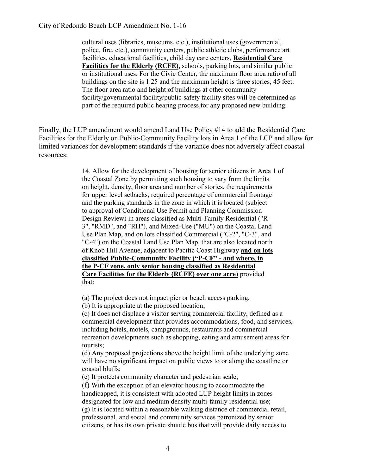cultural uses (libraries, museums, etc.), institutional uses (governmental, police, fire, etc.), community centers, public athletic clubs, performance art facilities, educational facilities, child day care centers, **Residential Care Facilities for the Elderly (RCFE),** schools, parking lots, and similar public or institutional uses. For the Civic Center, the maximum floor area ratio of all buildings on the site is 1.25 and the maximum height is three stories, 45 feet. The floor area ratio and height of buildings at other community facility/governmental facility/public safety facility sites will be determined as part of the required public hearing process for any proposed new building.

Finally, the LUP amendment would amend Land Use Policy #14 to add the Residential Care Facilities for the Elderly on Public-Community Facility lots in Area 1 of the LCP and allow for limited variances for development standards if the variance does not adversely affect coastal resources:

> 14. Allow for the development of housing for senior citizens in Area 1 of the Coastal Zone by permitting such housing to vary from the limits on height, density, floor area and number of stories, the requirements for upper level setbacks, required percentage of commercial frontage and the parking standards in the zone in which it is located (subject to approval of Conditional Use Permit and Planning Commission Design Review) in areas classified as Multi-Family Residential ("R-3", "RMD", and "RH"), and Mixed-Use ("MU") on the Coastal Land Use Plan Map, and on lots classified Commercial ("C-2", "C-3", and "C-4") on the Coastal Land Use Plan Map, that are also located north of Knob Hill Avenue, adjacent to Pacific Coast Highway **and on lots classified Public-Community Facility ("P-CF" - and where, in the P-CF zone, only senior housing classified as Residential Care Facilities for the Elderly (RCFE) over one acre)** provided that:

(a) The project does not impact pier or beach access parking;

(b) It is appropriate at the proposed location;

(c) It does not displace a visitor serving commercial facility, defined as a commercial development that provides accommodations, food, and services, including hotels, motels, campgrounds, restaurants and commercial recreation developments such as shopping, eating and amusement areas for tourists;

(d) Any proposed projections above the height limit of the underlying zone will have no significant impact on public views to or along the coastline or coastal bluffs;

(e) It protects community character and pedestrian scale;

(f) With the exception of an elevator housing to accommodate the handicapped, it is consistent with adopted LUP height limits in zones designated for low and medium density multi-family residential use; (g) It is located within a reasonable walking distance of commercial retail, professional, and social and community services patronized by senior citizens, or has its own private shuttle bus that will provide daily access to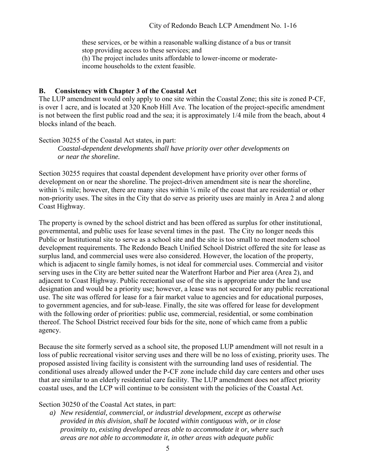these services, or be within a reasonable walking distance of a bus or transit stop providing access to these services; and (h) The project includes units affordable to lower-income or moderateincome households to the extent feasible.

### **B. Consistency with Chapter 3 of the Coastal Act**

The LUP amendment would only apply to one site within the Coastal Zone; this site is zoned P-CF, is over 1 acre, and is located at 320 Knob Hill Ave. The location of the project-specific amendment is not between the first public road and the sea; it is approximately 1/4 mile from the beach, about 4 blocks inland of the beach.

Section 30255 of the Coastal Act states, in part: *Coastal-dependent developments shall have priority over other developments on or near the shoreline.* 

Section 30255 requires that coastal dependent development have priority over other forms of development on or near the shoreline. The project-driven amendment site is near the shoreline, within  $\frac{1}{4}$  mile; however, there are many sites within  $\frac{1}{4}$  mile of the coast that are residential or other non-priority uses. The sites in the City that do serve as priority uses are mainly in Area 2 and along Coast Highway.

The property is owned by the school district and has been offered as surplus for other institutional, governmental, and public uses for lease several times in the past. The City no longer needs this Public or Institutional site to serve as a school site and the site is too small to meet modern school development requirements. The Redondo Beach Unified School District offered the site for lease as surplus land, and commercial uses were also considered. However, the location of the property, which is adjacent to single family homes, is not ideal for commercial uses. Commercial and visitor serving uses in the City are better suited near the Waterfront Harbor and Pier area (Area 2), and adjacent to Coast Highway. Public recreational use of the site is appropriate under the land use designation and would be a priority use; however, a lease was not secured for any public recreational use. The site was offered for lease for a fair market value to agencies and for educational purposes, to government agencies, and for sub-lease. Finally, the site was offered for lease for development with the following order of priorities: public use, commercial, residential, or some combination thereof. The School District received four bids for the site, none of which came from a public agency.

Because the site formerly served as a school site, the proposed LUP amendment will not result in a loss of public recreational visitor serving uses and there will be no loss of existing, priority uses. The proposed assisted living facility is consistent with the surrounding land uses of residential. The conditional uses already allowed under the P-CF zone include child day care centers and other uses that are similar to an elderly residential care facility. The LUP amendment does not affect priority coastal uses, and the LCP will continue to be consistent with the policies of the Coastal Act.

#### Section 30250 of the Coastal Act states, in part:

*a) New residential, commercial, or industrial development, except as otherwise provided in this division, shall be located within contiguous with, or in close proximity to, existing developed areas able to accommodate it or, where such areas are not able to accommodate it, in other areas with adequate public*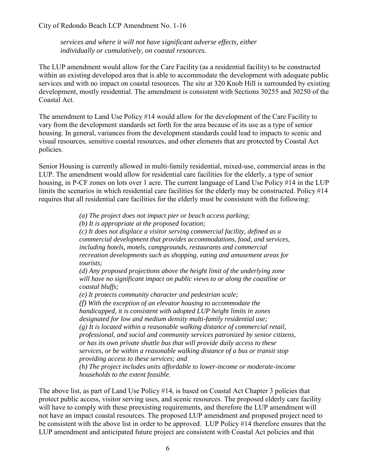City of Redondo Beach LCP Amendment No. 1-16

*services and where it will not have significant adverse effects, either individually or cumulatively, on coastal resources.* 

The LUP amendment would allow for the Care Facility (as a residential facility) to be constructed within an existing developed area that is able to accommodate the development with adequate public services and with no impact on coastal resources. The site at 320 Knob Hill is surrounded by existing development, mostly residential. The amendment is consistent with Sections 30255 and 30250 of the Coastal Act.

The amendment to Land Use Policy #14 would allow for the development of the Care Facility to vary from the development standards set forth for the area because of its use as a type of senior housing. In general, variances from the development standards could lead to impacts to scenic and visual resources, sensitive coastal resources, and other elements that are protected by Coastal Act policies.

Senior Housing is currently allowed in multi-family residential, mixed-use, commercial areas in the LUP. The amendment would allow for residential care facilities for the elderly, a type of senior housing, in P-CF zones on lots over 1 acre. The current language of Land Use Policy #14 in the LUP limits the scenarios in which residential care facilities for the elderly may be constructed. Policy #14 requires that all residential care facilities for the elderly must be consistent with the following:

*(a) The project does not impact pier or beach access parking;* 

*(b) It is appropriate at the proposed location;* 

*(c) It does not displace a visitor serving commercial facility, defined as a commercial development that provides accommodations, food, and services, including hotels, motels, campgrounds, restaurants and commercial recreation developments such as shopping, eating and amusement areas for tourists;* 

*(d) Any proposed projections above the height limit of the underlying zone will have no significant impact on public views to or along the coastline or coastal bluffs;* 

*(e) It protects community character and pedestrian scale;* 

*(f) With the exception of an elevator housing to accommodate the handicapped, it is consistent with adopted LUP height limits in zones designated for low and medium density multi-family residential use; (g) It is located within a reasonable walking distance of commercial retail, professional, and social and community services patronized by senior citizens, or has its own private shuttle bus that will provide daily access to these services, or be within a reasonable walking distance of a bus or transit stop providing access to these services; and* 

*(h) The project includes units affordable to lower-income or moderate-income households to the extent feasible.* 

The above list, as part of Land Use Policy #14, is based on Coastal Act Chapter 3 policies that protect public access, visitor serving uses, and scenic resources. The proposed elderly care facility will have to comply with these preexisting requirements, and therefore the LUP amendment will not have an impact coastal resources. The proposed LUP amendment and proposed project need to be consistent with the above list in order to be approved. LUP Policy #14 therefore ensures that the LUP amendment and anticipated future project are consistent with Coastal Act policies and that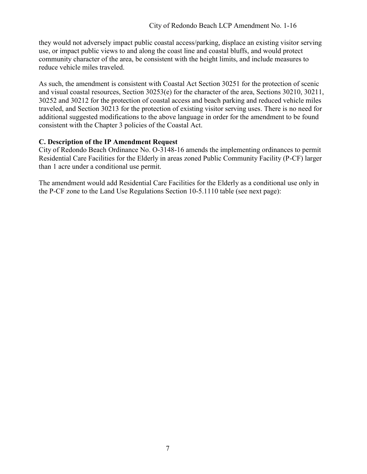they would not adversely impact public coastal access/parking, displace an existing visitor serving use, or impact public views to and along the coast line and coastal bluffs, and would protect community character of the area, be consistent with the height limits, and include measures to reduce vehicle miles traveled.

As such, the amendment is consistent with Coastal Act Section 30251 for the protection of scenic and visual coastal resources, Section 30253(e) for the character of the area, Sections 30210, 30211, 30252 and 30212 for the protection of coastal access and beach parking and reduced vehicle miles traveled, and Section 30213 for the protection of existing visitor serving uses. There is no need for additional suggested modifications to the above language in order for the amendment to be found consistent with the Chapter 3 policies of the Coastal Act.

## **C. Description of the IP Amendment Request**

City of Redondo Beach Ordinance No. O-3148-16 amends the implementing ordinances to permit Residential Care Facilities for the Elderly in areas zoned Public Community Facility (P-CF) larger than 1 acre under a conditional use permit.

The amendment would add Residential Care Facilities for the Elderly as a conditional use only in the P-CF zone to the Land Use Regulations Section 10-5.1110 table (see next page):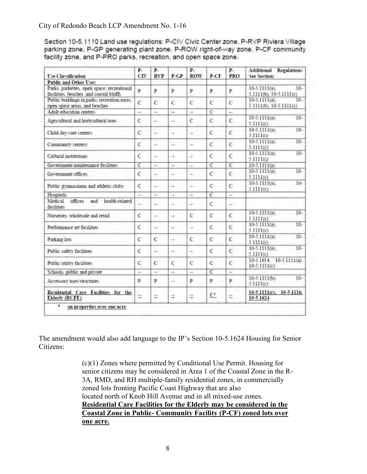City of Redondo Beach LCP Amendment No. 1-16

Section 10-5.1110 Land use regulations: P-CIV Civic Center zone, P-RVP Riviera Village parking zone, P-GP generating plant zone, P-ROW right-of-way zone, P-CF community facility zone, and P-PRO parks, recreation, and open space zone.

| <b>Use Classification</b>                                                             | P.<br>CIV      | $P-$<br><b>RVP</b> | $P-GP$                   | $P -$<br><b>ROW</b>      | P-CF           | $P-$<br><b>PRO</b>    | Additional Regulations<br><b>See Section:</b>             |
|---------------------------------------------------------------------------------------|----------------|--------------------|--------------------------|--------------------------|----------------|-----------------------|-----------------------------------------------------------|
| <b>Public and Other Uses</b>                                                          |                |                    |                          |                          |                |                       |                                                           |
| Parks, parkettes, open space, recreational<br>facilities, beaches, and coastal bluffs | Þ              | P.                 | $\mathbf{P}$             | P                        | p              | P                     | $10-5.1111(a)$ .<br>$10-$<br>5.1111(b), 10-5.1111(c)      |
| Public buildings in parks, recreation areas,<br>open space areas, and beaches         | $\epsilon$     | c                  | C.                       | $\overline{C}$           | $\epsilon$     | c                     | $10-5.1111(a)$ .<br>$10-$<br>$5.1111(b)$ , $10-5.1111(c)$ |
| Adult education centers                                                               | u              | ш                  | u                        | s                        | $\epsilon$     | ÷                     |                                                           |
| Agricultural and horticultural uses                                                   | c              | h.                 | u                        | ċ                        | C              | Č                     | $10-5.1111(a)$ .<br>$10-$<br>5.1111(c)                    |
| Child day care centers                                                                | $\overline{c}$ | ÷                  | $\overline{\phantom{a}}$ | $\overline{\phantom{a}}$ | Ċ              | ċ                     | $10-5.1111(a)$ .<br>$10-$<br>5.1111(c)                    |
| Community centers                                                                     | Ċ              | u                  | u                        | ٥                        | С              | C                     | $10-$<br>$10 - 5.1111(a)$<br>5.1111(c)                    |
| Cultural institutions                                                                 | c              | ÷                  | ÷                        | -                        | C              | $\epsilon$            | $10-$<br>$10 - 5.1111(a)$<br>5.1111(c)                    |
| Government mantenance facilities                                                      | $\overline{C}$ | ÷                  | in in                    | u                        | C              | $\overline{\epsilon}$ | $10-5.1111(a)$                                            |
| Government offices                                                                    | c              | -                  | ٠                        | $\overline{\phantom{a}}$ | c              | Ċ                     | $10-5.1111(a)$<br>$10-$<br>5.1111(c)                      |
| Public gymnasiums and athletic clubs                                                  | c              | ÷                  | ù.                       | Ξ                        | Ċ              | C                     | $10-$<br>$10-5.1111(a)$ .<br>5.1111(c)                    |
| Hospitals                                                                             | a              | u                  | -                        | -                        | c              | ≍                     |                                                           |
| offices.<br>health-related<br>Medical<br>and<br>facilities                            |                | ÷                  | ÷                        | 2                        | C              | ۷                     |                                                           |
| Nursenes, wholesale and retail                                                        | Ċ              | $=$                | $\overline{\phantom{a}}$ | č                        | C              | $\overline{c}$        | $10-5.1111(a)$ .<br>$10-$<br>5.1111(c)                    |
| Performance art facilities                                                            | C              | $\sim$             | -                        | ٠                        | C              | C                     | $10-5$ $1111(a)$ .<br>$10-$<br>5.1111(c)                  |
| Parking lots                                                                          | C              | с                  | ÷                        | e                        | $\overline{C}$ | c                     | $10-$<br>$10-5.1111(a)$ .<br>5.1111(c)                    |
| Public safety facilities                                                              | $\epsilon$     | ÷.                 | ÷                        | ۰                        | Ċ              | Ċ                     | $10-$<br>$10-5.1111(a)$ .<br>5.1111(c)                    |
| Public utility facilities                                                             | $\mathbf C$    | $\mathbf C$        | c                        | с                        | C              | с                     | 10-5.1614 10-5.1111(a)<br>10-5.1111(c)                    |
| Schools, public and private                                                           | ÷              | a                  | a                        | ≘                        | $\overline{C}$ | 2                     |                                                           |
| Accessory uses structures                                                             | Þ              | р                  | C.                       | p                        | p              | p                     | 10-5.1111(b).<br>$10-$<br>5.1111(c)                       |
| Residential Care Facilities for the<br>Elderly (RCFE)                                 | ÷.             | ÷                  | ÷                        | Ξ                        | $C^*$          | $\equiv$              | 10-5.1111(c), 10-5.1116.<br>10-5.1624                     |

The amendment would also add language to the IP's Section 10-5.1624 Housing for Senior Citizens:

> (c)(1) Zones where permitted by Conditional Use Permit. Housing for senior citizens may be considered in Area 1 of the Coastal Zone in the R-3A, RMD, and RH multiple-family residential zones, in commercially zoned lots fronting Pacific Coast Highway that are also located north of Knob Hill Avenue and in all mixed-use zones. **Residential Care Facilities for the Elderly may be considered in the Coastal Zone in Public- Community Facility (P-CF) zoned lots over one acre.**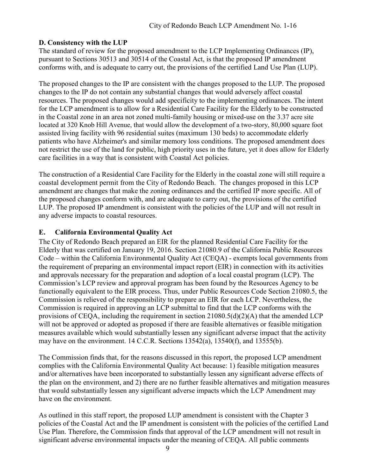# **D. Consistency with the LUP**

The standard of review for the proposed amendment to the LCP Implementing Ordinances (IP), pursuant to Sections 30513 and 30514 of the Coastal Act, is that the proposed IP amendment conforms with, and is adequate to carry out, the provisions of the certified Land Use Plan (LUP).

The proposed changes to the IP are consistent with the changes proposed to the LUP. The proposed changes to the IP do not contain any substantial changes that would adversely affect coastal resources. The proposed changes would add specificity to the implementing ordinances. The intent for the LCP amendment is to allow for a Residential Care Facility for the Elderly to be constructed in the Coastal zone in an area not zoned multi-family housing or mixed-use on the 3.37 acre site located at 320 Knob Hill Avenue, that would allow the development of a two-story, 80,000 square foot assisted living facility with 96 residential suites (maximum 130 beds) to accommodate elderly patients who have Alzheimer's and similar memory loss conditions. The proposed amendment does not restrict the use of the land for public, high priority uses in the future, yet it does allow for Elderly care facilities in a way that is consistent with Coastal Act policies.

The construction of a Residential Care Facility for the Elderly in the coastal zone will still require a coastal development permit from the City of Redondo Beach. The changes proposed in this LCP amendment are changes that make the zoning ordinances and the certified IP more specific. All of the proposed changes conform with, and are adequate to carry out, the provisions of the certified LUP. The proposed IP amendment is consistent with the policies of the LUP and will not result in any adverse impacts to coastal resources.

# **E. California Environmental Quality Act**

The City of Redondo Beach prepared an EIR for the planned Residential Care Facility for the Elderly that was certified on January 19, 2016. Section 21080.9 of the California Public Resources Code – within the California Environmental Quality Act (CEQA) - exempts local governments from the requirement of preparing an environmental impact report (EIR) in connection with its activities and approvals necessary for the preparation and adoption of a local coastal program (LCP). The Commission's LCP review and approval program has been found by the Resources Agency to be functionally equivalent to the EIR process. Thus, under Public Resources Code Section 21080.5, the Commission is relieved of the responsibility to prepare an EIR for each LCP. Nevertheless, the Commission is required in approving an LCP submittal to find that the LCP conforms with the provisions of CEQA, including the requirement in section 21080.5(d)(2)(A) that the amended LCP will not be approved or adopted as proposed if there are feasible alternatives or feasible mitigation measures available which would substantially lessen any significant adverse impact that the activity may have on the environment. 14 C.C.R. Sections 13542(a), 13540(f), and 13555(b).

The Commission finds that, for the reasons discussed in this report, the proposed LCP amendment complies with the California Environmental Quality Act because: 1) feasible mitigation measures and/or alternatives have been incorporated to substantially lessen any significant adverse effects of the plan on the environment, and 2) there are no further feasible alternatives and mitigation measures that would substantially lessen any significant adverse impacts which the LCP Amendment may have on the environment.

As outlined in this staff report, the proposed LUP amendment is consistent with the Chapter 3 policies of the Coastal Act and the IP amendment is consistent with the policies of the certified Land Use Plan. Therefore, the Commission finds that approval of the LCP amendment will not result in significant adverse environmental impacts under the meaning of CEQA. All public comments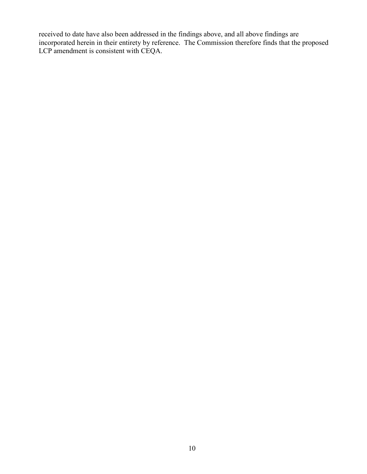received to date have also been addressed in the findings above, and all above findings are incorporated herein in their entirety by reference. The Commission therefore finds that the proposed LCP amendment is consistent with CEQA.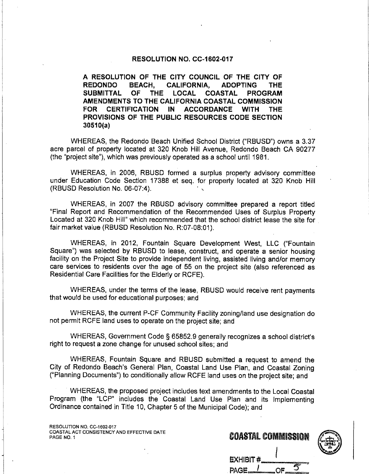#### RESOLUTION NO. CC-1602-017

A RESOLUTION OF THE CITY COUNCIL OF THE CITY OF **REDONDO BEACH. CALIFORNIA. ADOPTING THE SUBMITTAL OF THE** LOCAL COASTAL **PROGRAM** AMENDMENTS TO THE CALIFORNIA COASTAL COMMISSION **FOR** CERTIFICATION IN ACCORDANCE **WITH THE** PROVISIONS OF THE PUBLIC RESOURCES CODE SECTION  $30510(a)$ 

WHEREAS, the Redondo Beach Unified School District ("RBUSD") owns a 3.37 acre parcel of property located at 320 Knob Hill Avenue, Redondo Beach CA 90277 (the "project site"), which was previously operated as a school until 1981.

WHEREAS, in 2006, RBUSD formed a surplus property advisory committee under Education Code Section 17388 et seq. for property located at 320 Knob Hill (RBUSD Resolution No. 06-07:4).

WHEREAS, in 2007 the RBUSD advisory committee prepared a report titled "Final Report and Recommendation of the Recommended Uses of Surplus Property Located at 320 Knob Hill" which recommended that the school district lease the site for fair market value (RBUSD Resolution No. R:07-08:01).

WHEREAS, in 2012, Fountain Square Development West, LLC ("Fountain Square") was selected by RBUSD to lease, construct, and operate a senior housing facility on the Project Site to provide independent living, assisted living and/or memory care services to residents over the age of 55 on the project site (also referenced as Residential Care Facilities for the Elderly or RCFE).

WHEREAS, under the terms of the lease, RBUSD would receive rent payments that would be used for educational purposes; and

WHEREAS, the current P-CF Community Facility zoning/land use designation do not permit RCFE land uses to operate on the project site; and

WHEREAS, Government Code § 65852.9 generally recognizes a school district's right to request a zone change for unused school sites; and

WHEREAS, Fountain Square and RBUSD submitted a request to amend the City of Redondo Beach's General Plan, Coastal Land Use Plan, and Coastal Zoning ("Planning Documents") to conditionally allow RCFE land uses on the project site; and

WHEREAS, the proposed project includes text amendments to the Local Coastal Program (the "LCP" includes the Coastal Land Use Plan and its Implementing Ordinance contained in Title 10, Chapter 5 of the Municipal Code); and

RESOLUTION NO. CC-1602-017 COASTAL ACT CONSISTENCY AND EFFECTIVE DATE PAGE NO. 1

|           | COASTAL COMMISSION |  |
|-----------|--------------------|--|
| EXHIBIT # |                    |  |
|           |                    |  |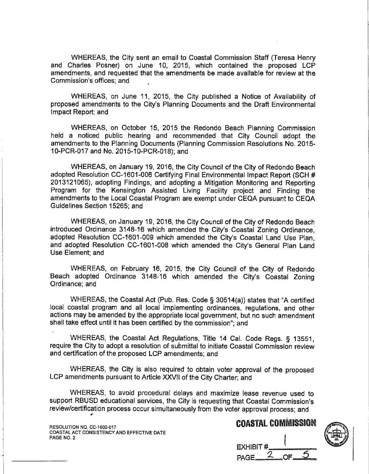WHEREAS, the City sent an email to Coastal Commission Staff (Teresa Henry and Charles Posner) on June 10, 2015, which contained the proposed LCP amendments, and requested that the amendments be made available for review at the Commission's offices; and

WHEREAS, on June 11, 2015, the City published a Notice of Availability of proposed amendments to the City's Planning Documents and the Draft Environmental Impact Report; and

WHEREAS, on October 15, 2015 the Redondo Beach Planning Commission held a noticed public hearing and recommended that City Council adopt the amendments to the Planning Documents (Planning Commission Resolutions No. 2015-10-PCR-017 and No. 2015-10-PCR-018); and

WHEREAS, on January 19, 2016, the City Council of the City of Redondo Beach adopted Resolution CC-1601-006 Certifying Final Environmental Impact Report (SCH # 2013121065), adopting Findings, and adopting a Mitigation Monitoring and Reporting Program for the Kensington Assisted Living Facility project and Finding the amendments to the Local Coastal Program are exempt under CEQA pursuant to CEQA Guidelines Section 15265; and

WHEREAS, on January 19, 2016, the City Council of the City of Redondo Beach introduced Ordinance 3148-16 which amended the City's Coastal Zoning Ordinance. adopted Resolution CC-1601-009 which amended the City's Coastal Land Use Plan, and adopted Resolution CC-1601-008 which amended the City's General Plan Land Use Element; and

WHEREAS, on February 16, 2015, the City Council of the City of Redondo Beach adopted Ordinance 3148-16 which amended the City's Coastal Zoning Ordinance: and

WHEREAS, the Coastal Act (Pub. Res. Code § 30514(a)) states that "A certified local coastal program and all local implementing ordinances, regulations, and other actions may be amended by the appropriate local government, but no such amendment shall take effect until it has been certified by the commission"; and

WHEREAS, the Coastal Act Regulations, Title 14 Cal. Code Regs. § 13551. require the City to adopt a resolution of submittal to initiate Coastal Commission review and certification of the proposed LCP amendments; and

WHEREAS, the City is also required to obtain voter approval of the proposed LCP amendments pursuant to Article XXVII of the City Charter: and

WHEREAS, to avoid procedural delays and maximize lease revenue used to support RBUSD educational services, the City is requesting that Coastal Commission's review/certification process occur simultaneously from the voter approval process; and

RESOLUTION NO. CC-1602-017 COASTAL ACT CONSISTENCY AND EFFECTIVE DATE PAGE NO. 2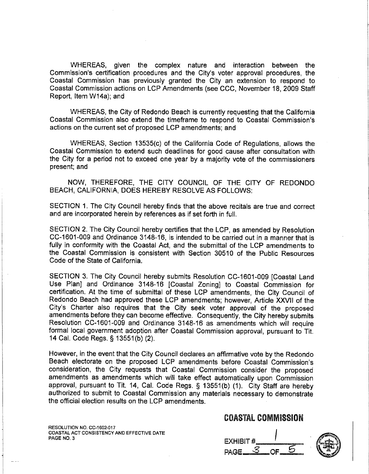WHEREAS, given the complex nature and interaction between the Commission's certification procedures and the City's voter approval procedures, the Coastal Commission has previously granted the City an extension to respond to Coastal Commission actions on LCP Amendments (see CCC, November 18, 2009 Staff Report. Item W14a); and

WHEREAS, the City of Redondo Beach is currently requesting that the California Coastal Commission also extend the timeframe to respond to Coastal Commission's actions on the current set of proposed LCP amendments: and

WHEREAS, Section 13535(c) of the California Code of Regulations, allows the Coastal Commission to extend such deadlines for good cause after consultation with the City for a period not to exceed one year by a majority vote of the commissioners present; and

NOW, THEREFORE, THE CITY COUNCIL OF THE CITY OF REDONDO BEACH, CALIFORNIA, DOES HEREBY RESOLVE AS FOLLOWS:

SECTION 1. The City Council hereby finds that the above recitals are true and correct and are incorporated herein by references as if set forth in full.

SECTION 2. The City Council hereby certifies that the LCP, as amended by Resolution CC-1601-009 and Ordinance 3148-16, is intended to be carried out in a manner that is fully in conformity with the Coastal Act, and the submittal of the LCP amendments to the Coastal Commission is consistent with Section 30510 of the Public Resources Code of the State of California.

SECTION 3. The City Council hereby submits Resolution CC-1601-009 [Coastal Land Use Plan] and Ordinance 3148-16 [Coastal Zoning] to Coastal Commission for certification. At the time of submittal of these LCP amendments, the City Council of Redondo Beach had approved these LCP amendments: however. Article XXVII of the City's Charter also requires that the City seek voter approval of the proposed amendments before they can become effective. Consequently, the City hereby submits Resolution CC-1601-009 and Ordinance 3148-16 as amendments which will require formal local government adoption after Coastal Commission approval, pursuant to Tit. 14 Cal. Code Regs. § 13551(b) (2).

However, in the event that the City Council declares an affirmative vote by the Redondo Beach electorate on the proposed LCP amendments before Coastal Commission's consideration, the City requests that Coastal Commission consider the proposed amendments as amendments which will take effect automatically upon Commission approval, pursuant to Tit. 14, Cal. Code Regs. § 13551(b) (1). City Staff are hereby authorized to submit to Coastal Commission any materials necessary to demonstrate the official election results on the LCP amendments.

RESOLUTION NO. CC-1602-017 COASTAL ACT CONSISTENCY AND EFFECTIVE DATE PAGE NO. 3

**EXHIBIT #** PAGE.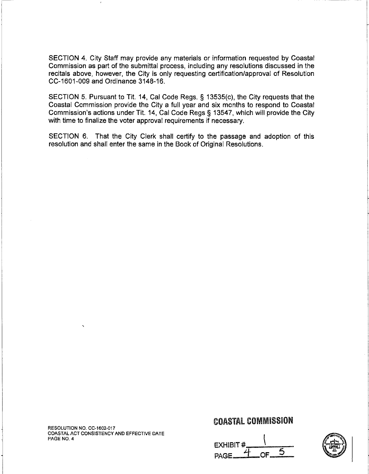SECTION 4. City Staff may provide any materials or information requested by Coastal Commission as part of the submittal process, including any resolutions discussed in the recitals above, however, the City is only requesting certification/approval of Resolution CC-1601-009 and Ordinance 3148-16.

SECTION 5. Pursuant to Tit. 14, Cal Code Regs. § 13535(c), the City requests that the Coastal Commission provide the City a full year and six months to respond to Coastal Commission's actions under Tit. 14, Cal Code Regs § 13547, which will provide the City with time to finalize the voter approval requirements if necessary.

SECTION 6. That the City Clerk shall certify to the passage and adoption of this resolution and shall enter the same in the Book of Original Resolutions.

RESOLUTION NO. CC-1602-017 COASTAL ACT CONSISTENCY AND EFFECTIVE DATE PAGE NO. 4

**EXHIBIT#** 

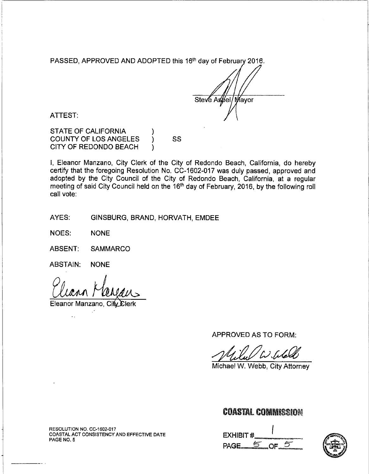PASSED, APPROVED AND ADOPTED this 16<sup>th</sup> day of February 2016.

Steve Aspel/Mayor

ATTEST:

**STATE OF CALIFORNIA COUNTY OF LOS ANGELES** CITY OF REDONDO BEACH

I, Eleanor Manzano, City Clerk of the City of Redondo Beach, California, do hereby certify that the foregoing Resolution No. CC-1602-017 was duly passed, approved and adopted by the City Council of the City of Redondo Beach, California, at a regular meeting of said City Council held on the 16<sup>th</sup> day of February, 2016, by the following roll call vote:

SS

AYES: GINSBURG, BRAND, HORVATH, EMDEE

NOES: **NONE** 

**ABSENT: SAMMARCO** 

**ABSTAIN: NONE** 

Eleanor Manzano, City

APPROVED AS TO FORM:

Michael W. Webb, City Attorney

# **COASTAL COMMISSION**

**EXHIBIT #** PAGE\_ OF



RESOLUTION NO. CC-1602-017 COASTAL ACT CONSISTENCY AND EFFECTIVE DATE PAGE NO. 5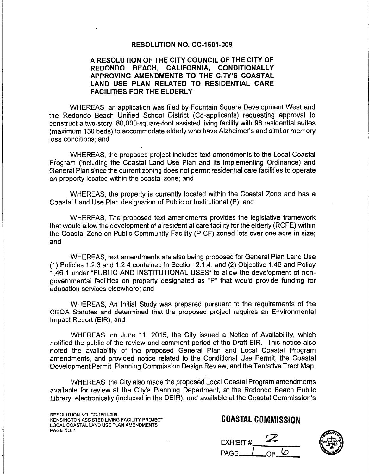#### **RESOLUTION NO. CC-1601-009**

#### A RESOLUTION OF THE CITY COUNCIL OF THE CITY OF REDONDO BEACH, CALIFORNIA, CONDITIONALLY APPROVING AMENDMENTS TO THE CITY'S COASTAL LAND USE PLAN RELATED TO RESIDENTIAL CARE **FACILITIES FOR THE ELDERLY**

WHEREAS, an application was filed by Fountain Square Development West and the Redondo Beach Unified School District (Co-applicants) requesting approval to construct a two-story, 80,000-square-foot assisted living facility with 96 residential suites (maximum 130 beds) to accommodate elderly who have Alzheimer's and similar memory loss conditions; and

WHEREAS, the proposed project includes text amendments to the Local Coastal Program (including the Coastal Land Use Plan and its Implementing Ordinance) and General Plan since the current zoning does not permit residential care facilities to operate on property located within the coastal zone; and

WHEREAS, the property is currently located within the Coastal Zone and has a Coastal Land Use Plan designation of Public or Institutional (P); and

WHEREAS. The proposed text amendments provides the legislative framework that would allow the development of a residential care facility for the elderly (RCFE) within the Coastal Zone on Public-Community Facility (P-CF) zoned lots over one acre in size; and

WHEREAS, text amendments are also being proposed for General Plan Land Use (1) Policies 1.2.3 and 1.2.4 contained in Section 2.1.4, and (2) Objective 1.46 and Policy 1.46.1 under "PUBLIC AND INSTITUTIONAL USES" to allow the development of nongovernmental facilities on property designated as "P" that would provide funding for education services elsewhere; and

WHEREAS, An Initial Study was prepared pursuant to the requirements of the CEQA Statutes and determined that the proposed project requires an Environmental Impact Report (EIR); and

WHEREAS, on June 11, 2015, the City issued a Notice of Availability, which notified the public of the review and comment period of the Draft EIR. This notice also noted the availability of the proposed General Plan and Local Coastal Program amendments, and provided notice related to the Conditional Use Permit, the Coastal Development Permit, Planning Commission Design Review, and the Tentative Tract Map.

WHEREAS, the City also made the proposed Local Coastal Program amendments available for review at the City's Planning Department, at the Redondo Beach Public Library, electronically (included in the DEIR), and available at the Coastal Commission's

RESOLUTION NO. CC-1601-009 KENSINGTON ASSISTED LIVING FACILITY PROJECT LOCAL COASTAL LAND USE PLAN AMENDMENTS PAGE NO. 1



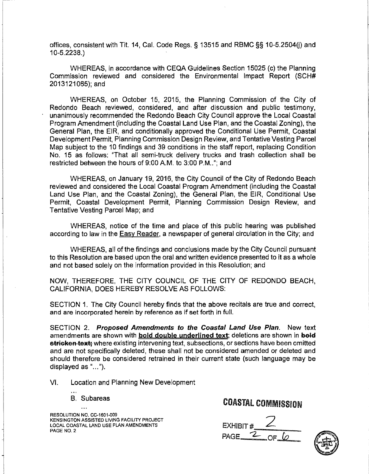offices, consistent with Tit. 14, Cal. Code Regs, § 13515 and RBMC §§ 10-5.2504(i) and  $10 - 5.2238.$ 

WHEREAS, in accordance with CEQA Guidelines Section 15025 (c) the Planning Commission reviewed and considered the Environmental Impact Report (SCH# 2013121065); and

WHEREAS, on October 15, 2015, the Planning Commission of the City of Redondo Beach reviewed, considered, and after discussion and public testimony, unanimously recommended the Redondo Beach City Council approve the Local Coastal Program Amendment (including the Coastal Land Use Plan, and the Coastal Zoning), the General Plan, the EIR, and conditionally approved the Conditional Use Permit, Coastal Development Permit, Planning Commission Design Review, and Tentative Vesting Parcel Map subject to the 10 findings and 39 conditions in the staff report, replacing Condition No. 15 as follows: "That all semi-truck delivery trucks and trash collection shall be restricted between the hours of 9:00 A.M. to 3:00 P.M.,"; and

WHEREAS, on January 19, 2016, the City Council of the City of Redondo Beach reviewed and considered the Local Coastal Program Amendment (including the Coastal Land Use Plan, and the Coastal Zoning), the General Plan, the EIR, Conditional Use Permit, Coastal Development Permit, Planning Commission Design Review, and Tentative Vesting Parcel Map; and

WHEREAS, notice of the time and place of this public hearing was published according to law in the Easy Reader, a newspaper of general circulation in the City; and

WHEREAS, all of the findings and conclusions made by the City Council pursuant to this Resolution are based upon the oral and written evidence presented to it as a whole and not based solely on the information provided in this Resolution; and

NOW, THEREFORE, THE CITY COUNCIL OF THE CITY OF REDONDO BEACH, CALIFORNIA, DOES HEREBY RESOLVE AS FOLLOWS:

SECTION 1. The City Council hereby finds that the above recitals are true and correct, and are incorporated herein by reference as if set forth in full.

SECTION 2. Proposed Amendments to the Coastal Land Use Plan. New text amendments are shown with **bold double underlined text**; deletions are shown in bold stricken text; where existing intervening text, subsections, or sections have been omitted and are not specifically deleted, these shall not be considered amended or deleted and should therefore be considered retrained in their current state (such language may be displayed as "...").

VI. Location and Planning New Development

**B.** Subareas

 $\ddotsc$ 

RESOLUTION NO. CC-1601-009 KENSINGTON ASSISTED LIVING FACILITY PROJECT LOCAL COASTAL LAND USE PLAN AMENDMENTS PAGE NO. 2

EXHIBIT #  $PAGE_2$ 

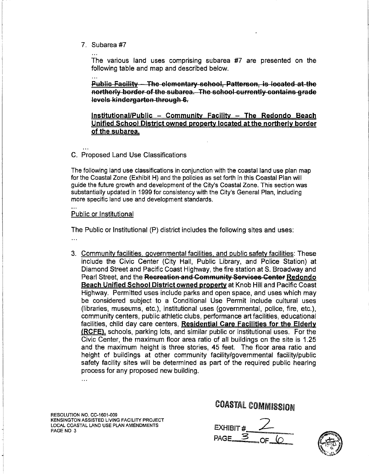7. Subarea #7

The various land uses comprising subarea #7 are presented on the following table and map and described below.

**Public Facility - The elementary school, Patterson, is located at the** northerly border of the subarea. The school-currently-contains grade levels kindergarten through 6.

Institutional/Public - Community Facility - The Redondo Beach Unified School District owned property located at the northerly border of the subarea.

### C. Proposed Land Use Classifications

The following land use classifications in conjunction with the coastal land use plan map for the Coastal Zone (Exhibit H) and the policies as set forth in this Coastal Plan will guide the future growth and development of the City's Coastal Zone. This section was substantially updated in 1999 for consistency with the City's General Plan, including more specific land use and development standards.

#### Public or Institutional

The Public or Institutional (P) district includes the following sites and uses:

- $\ddotsc$
- 3. Community facilities, governmental facilities, and public safety facilities: These include the Civic Center (City Hall, Public Library, and Police Station) at Diamond Street and Pacific Coast Highway, the fire station at S. Broadway and Pearl Street, and the Recreation and Community Services Center Redondo Beach Unified School District owned property at Knob Hill and Pacific Coast Highway. Permitted uses include parks and open space, and uses which may be considered subject to a Conditional Use Permit include cultural uses (libraries, museums, etc.), institutional uses (governmental, police, fire, etc.), community centers, public athletic clubs, performance art facilities, educational facilities, child day care centers, Residential Care Facilities for the Elderly (RCFE), schools, parking lots, and similar public or institutional uses. For the Civic Center, the maximum floor area ratio of all buildings on the site is 1.25 and the maximum height is three stories, 45 feet. The floor area ratio and height of buildings at other community facility/governmental facility/public safety facility sites will be determined as part of the required public hearing process for any proposed new building.

RESOLUTION NO. CC-1601-009 KENSINGTON ASSISTED LIVING FACILITY PROJECT LOCAL COASTAL LAND USE PLAN AMENDMENTS PAGE NO 3

 $\ddotsc$ 

EXHIBIT # PAGE  $\frac{3}{2}$  of

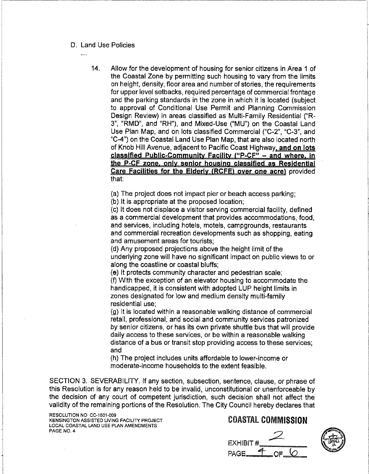- D. Land Use Policies
	-
- $14<sub>1</sub>$ Allow for the development of housing for senior citizens in Area 1 of the Coastal Zone by permitting such housing to vary from the limits on height, density, floor area and number of stories, the requirements for upper level setbacks, required percentage of commercial frontage and the parking standards in the zone in which it is located (subject to approval of Conditional Use Permit and Planning Commission Design Review) in areas classified as Multi-Family Residential ("R-3", "RMD", and "RH"), and Mixed-Use ("MU") on the Coastal Land Use Plan Map, and on lots classified Commercial ("C-2", "C-3", and "C-4") on the Coastal Land Use Plan Map, that are also located north of Knob Hill Avenue, adjacent to Pacific Coast Highway, and on lots classified Public-Community Facility ("P-CF" - and where, in the P-CF zone, only senior housing classified as Residential Care Facilities for the Elderly (RCFE) over one acre) provided that:

(a) The project does not impact pier or beach access parking;

(b) It is appropriate at the proposed location;

(c) It does not displace a visitor serving commercial facility, defined as a commercial development that provides accommodations, food, and services, including hotels, motels, campgrounds, restaurants and commercial recreation developments such as shopping, eating and amusement areas for tourists:

(d) Any proposed projections above the height limit of the underlying zone will have no significant impact on public views to or along the coastline or coastal bluffs;

(e) It protects community character and pedestrian scale; (f) With the exception of an elevator housing to accommodate the handicapped, it is consistent with adopted LUP height limits in zones designated for low and medium density multi-family residential use:

(g) It is located within a reasonable walking distance of commercial retail, professional, and social and community services patronized by senior citizens, or has its own private shuttle bus that will provide daily access to these services, or be within a reasonable walking distance of a bus or transit stop providing access to these services; and

(h) The project includes units affordable to lower-income or moderate-income households to the extent feasible.

SECTION 3. SEVERABILITY. If any section, subsection, sentence, clause, or phrase of this Resolution is for any reason held to be invalid, unconstitutional or unenforceable by the decision of any court of competent jurisdiction, such decision shall not affect the validity of the remaining portions of the Resolution. The City Council hereby declares that

RESOLUTION NO. CC-1601-009 KENSINGTON ASSISTED LIVING FACILITY PROJECT LOCAL COASTAL LAND USE PLAN AMENDMENTS PAGE NO. 4



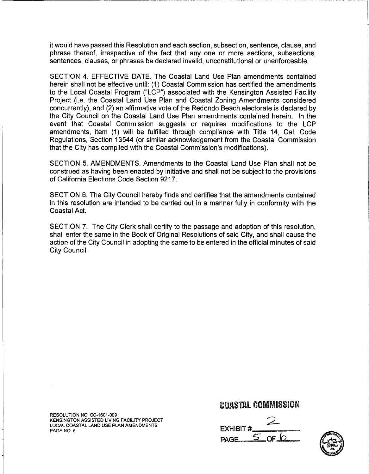it would have passed this Resolution and each section, subsection, sentence, clause, and phrase thereof, irrespective of the fact that any one or more sections, subsections, sentences, clauses, or phrases be declared invalid, unconstitutional or unenforceable.

SECTION 4. EFFECTIVE DATE. The Coastal Land Use Plan amendments contained herein shall not be effective until: (1) Coastal Commission has certified the amendments to the Local Coastal Program ("LCP") associated with the Kensington Assisted Facility Project (i.e. the Coastal Land Use Plan and Coastal Zoning Amendments considered concurrently), and (2) an affirmative vote of the Redondo Beach electorate is declared by the City Council on the Coastal Land Use Plan amendments contained herein. In the event that Coastal Commission suggests or requires modifications to the LCP amendments, item (1) will be fulfilled through compliance with Title 14, Cal. Code Regulations, Section 13544 (or similar acknowledgement from the Coastal Commission that the City has complied with the Coastal Commission's modifications).

SECTION 5. AMENDMENTS. Amendments to the Coastal Land Use Plan shall not be construed as having been enacted by initiative and shall not be subject to the provisions of California Elections Code Section 9217.

SECTION 6. The City Council hereby finds and certifies that the amendments contained in this resolution are intended to be carried out in a manner fully in conformity with the Coastal Act.

SECTION 7. The City Clerk shall certify to the passage and adoption of this resolution. shall enter the same in the Book of Original Resolutions of said City, and shall cause the action of the City Council in adopting the same to be entered in the official minutes of said City Council.

RESOLUTION NO. CC-1601-009 KENSINGTON ASSISTED LIVING FACILITY PROJECT LOCAL COASTAL LAND USE PLAN AMENDMENTS PAGE NO 5

**EXHIBIT#** PAGE\_

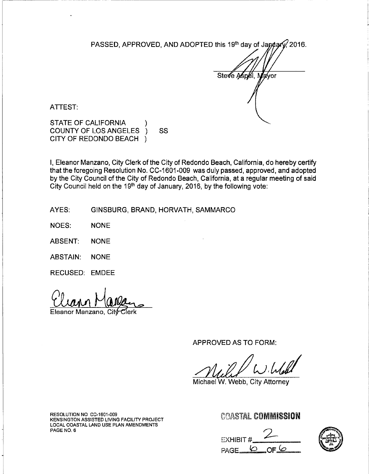PASSED, APPROVED, AND ADOPTED this 19th day of January 2016.

Ste**√**e A∕sp∉l, ′a∕vor

ATTEST:

STATE OF CALIFORNIA **COUNTY OF LOS ANGELES** SS CITY OF REDONDO BEACH )

I, Eleanor Manzano, City Clerk of the City of Redondo Beach, California, do hereby certify that the foregoing Resolution No. CC-1601-009 was duly passed, approved, and adopted by the City Council of the City of Redondo Beach, California, at a regular meeting of said City Council held on the 19<sup>th</sup> day of January, 2016, by the following vote:

AYES: GINSBURG, BRAND, HORVATH, SAMMARCO

**NOES: NONF** 

**ABSENT: NONE** 

**ABSTAIN: NONE** 

RECUSED: EMDEE

Eleanor Manzano, Cit

APPROVED AS TO FORM:

Michael W. Webb, City Attorney

RESOLUTION NO CC-1601-009 KENSINGTON ASSISTED LIVING FACILITY PROJECT LOCAL COASTAL LAND USE PLAN AMENDMENTS PAGE NO. 6

**EXHIBIT #** PAGE<sub>0</sub>

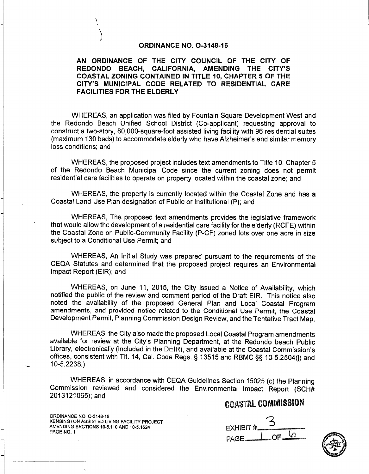#### ORDINANCE NO. 0-3148-16

#### AN ORDINANCE OF THE CITY COUNCIL OF THE CITY OF REDONDO BEACH, CALIFORNIA, AMENDING THE CITY'S COASTAL ZONING CONTAINED IN TITLE 10, CHAPTER 5 OF THE CITY'S MUNICIPAL CODE RELATED TO RESIDENTIAL CARE **FACILITIES FOR THE ELDERLY**

WHEREAS, an application was filed by Fountain Square Development West and the Redondo Beach Unified School District (Co-applicant) requesting approval to construct a two-story, 80,000-square-foot assisted living facility with 96 residential suites (maximum 130 beds) to accommodate elderly who have Alzheimer's and similar memory loss conditions; and

WHEREAS, the proposed project includes text amendments to Title 10, Chapter 5 of the Redondo Beach Municipal Code since the current zoning does not permit residential care facilities to operate on property located within the coastal zone; and

WHEREAS, the property is currently located within the Coastal Zone and has a Coastal Land Use Plan designation of Public or Institutional (P); and

WHEREAS, The proposed text amendments provides the legislative framework that would allow the development of a residential care facility for the elderly (RCFE) within the Coastal Zone on Public-Community Facility (P-CF) zoned lots over one acre in size subject to a Conditional Use Permit; and

WHEREAS, An Initial Study was prepared pursuant to the requirements of the CEQA Statutes and determined that the proposed project requires an Environmental Impact Report (EIR); and

WHEREAS, on June 11, 2015, the City issued a Notice of Availability, which notified the public of the review and comment period of the Draft EIR. This notice also noted the availability of the proposed General Plan and Local Coastal Program amendments, and provided notice related to the Conditional Use Permit, the Coastal Development Permit, Planning Commission Design Review, and the Tentative Tract Map.

WHEREAS, the City also made the proposed Local Coastal Program amendments available for review at the City's Planning Department, at the Redondo beach Public Library, electronically (included in the DEIR), and available at the Coastal Commission's offices, consistent with Tit. 14, Cal. Code Regs. § 13515 and RBMC §§ 10-5.2504(i) and  $10-5,2238.$ 

WHEREAS, in accordance with CEQA Guidelines Section 15025 (c) the Planning Commission reviewed and considered the Environmental Impact Report (SCH# 2013121065); and

# **COASTAL COMMISSION**

ORDINANCE NO. 0-3148-16 KENSINGTON ASSISTED LIVING FACILITY PROJECT AMENDING SECTIONS 10-5,110 AND 10-5,1624 PAGE NO. 1

**EXHIBIT#** PAGE.

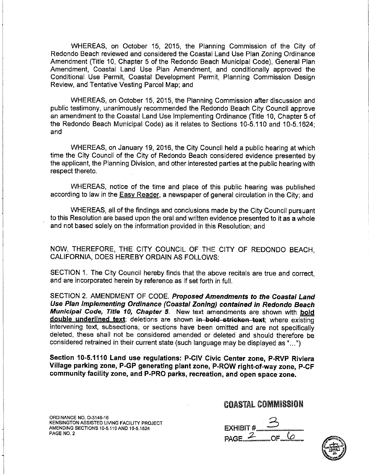WHEREAS, on October 15, 2015, the Planning Commission of the City of Redondo Beach reviewed and considered the Coastal Land Use Plan Zoning Ordinance Amendment (Title 10, Chapter 5 of the Redondo Beach Municipal Code), General Plan Amendment, Coastal Land Use Plan Amendment, and conditionally approved the Conditional Use Permit, Coastal Development Permit, Planning Commission Design Review, and Tentative Vesting Parcel Map; and

WHEREAS, on October 15, 2015, the Planning Commission after discussion and public testimony, unanimously recommended the Redondo Beach City Council approve an amendment to the Coastal Land Use Implementing Ordinance (Title 10, Chapter 5 of the Redondo Beach Municipal Code) as it relates to Sections 10-5.110 and 10-5.1624: and

WHEREAS, on January 19, 2016, the City Council held a public hearing at which time the City Council of the City of Redondo Beach considered evidence presented by the applicant, the Planning Division, and other interested parties at the public hearing with respect thereto.

WHEREAS, notice of the time and place of this public hearing was published according to law in the Easy Reader, a newspaper of general circulation in the City; and

WHEREAS, all of the findings and conclusions made by the City Council pursuant to this Resolution are based upon the oral and written evidence presented to it as a whole and not based solely on the information provided in this Resolution; and

NOW, THEREFORE, THE CITY COUNCIL OF THE CITY OF REDONDO BEACH. CALIFORNIA, DOES HEREBY ORDAIN AS FOLLOWS:

SECTION 1. The City Council hereby finds that the above recitals are true and correct. and are incorporated herein by reference as if set forth in full.

SECTION 2. AMENDMENT OF CODE. Proposed Amendments to the Coastal Land Use Plan Implementing Ordinance (Coastal Zoning) contained in Redondo Beach Municipal Code, Title 10, Chapter 5. New text amendments are shown with bold double underlined text; deletions are shown in bold stricken text; where existing intervening text, subsections, or sections have been omitted and are not specifically deleted, these shall not be considered amended or deleted and should therefore be considered retrained in their current state (such language may be displayed as "...")

Section 10-5.1110 Land use regulations: P-CIV Civic Center zone, P-RVP Riviera Village parking zone, P-GP generating plant zone, P-ROW right-of-way zone, P-CF community facility zone, and P-PRO parks, recreation, and open space zone.

ORDINANCE NO. O-3148-16 KENSINGTON ASSISTED LIVING FACILITY PROJECT AMENDING SECTIONS 10-5.110 AND 10-5.1624 PAGE NO. 2

EXHIBIT #\_ PAGE  $2$ 

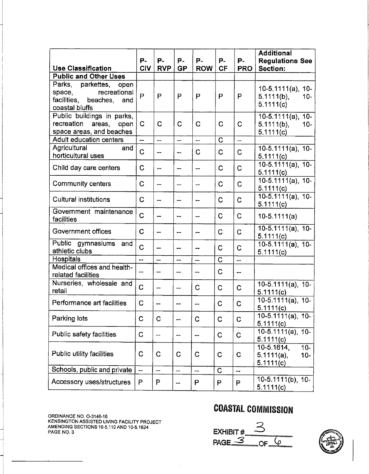|                                                           |                          |                          |                          |                |                |                | <b>Additional</b>                           |
|-----------------------------------------------------------|--------------------------|--------------------------|--------------------------|----------------|----------------|----------------|---------------------------------------------|
|                                                           | Р.<br><b>CIV</b>         | Р.<br><b>RVP</b>         | P-<br><b>GP</b>          | P-             | P-             | P-             | <b>Regulations See</b>                      |
| <b>Use Classification</b><br><b>Public and Other Uses</b> |                          |                          |                          | <b>ROW</b>     | <b>CF</b>      | <b>PRO</b>     | <b>Section:</b>                             |
| Parks, parkettes,<br>open                                 |                          |                          |                          |                |                |                |                                             |
| recreational<br>space,                                    | P                        | P                        | P                        | P              | P              | P              | $10-5.1111(a)$ , 10-<br>$5.111($ b),<br>10- |
| facilities, beaches,<br>and<br>coastal bluffs             |                          |                          |                          |                |                |                | 5.1111(c)                                   |
| Public buildings in parks,                                |                          |                          |                          |                |                |                | $10-5.1111(a)$ , 10-                        |
| recreation<br>areas,<br>open                              | C                        | $\mathbf C$              | $\mathbf C$              | C              | C              | $\mathbf C$    | $5.1111(b)$ ,<br>$10 -$                     |
| space areas, and beaches                                  |                          |                          |                          |                |                |                | 5.1111(c)                                   |
| Adult education centers<br>Agricultural<br>and            | $\overline{a}$           | $\overline{\phantom{0}}$ | $\overline{a}$           | $\overline{a}$ | Ć              | $\overline{a}$ | $10-5.1111(a), 10-$                         |
| horticultural uses                                        | C                        | $\frac{1}{2}$            | $\ddotsc$                | C              | C              | $\mathbf C$    | 5.1111(c)                                   |
| Child day care centers                                    | $\mathbf C$              | $\overline{a}$           | --                       | <u></u>        | C              | $\mathbf C$    | $10-5.1111(a), 10-$                         |
|                                                           |                          |                          |                          |                |                |                | 5.1111(c)                                   |
| <b>Community centers</b>                                  | $\mathsf C$              | $\overline{a}$           | --                       | --             | Ć              | $\overline{C}$ | 10-5.1111(a), 10-<br>5.1111(c)              |
| <b>Cultural institutions</b>                              | $\mathbf C$              | $\ddotsc$                | --                       | --             | C              | $\mathbf C$    | 10-5.1111(a), 10-                           |
| Government maintenance                                    |                          |                          |                          |                |                |                | 5.1111(c)                                   |
| facilities                                                | C                        | --                       | --                       | --             | C              | $\mathbf C$    | $10-5.1111(a)$                              |
| Government offices                                        | C                        | --                       | ---                      | --             | $\mathbf C$    | $\overline{C}$ | $10-5.1111(a)$ , 10-<br>5.1111(c)           |
| Public gymnasiums<br>and                                  | $\overline{C}$           | $\overline{\phantom{a}}$ | --                       | --             | $\mathbf C$    | $\mathbf C$    | 10-5.1111(a), 10-                           |
| athletic clubs                                            |                          |                          |                          |                |                |                | 5.1111(c)                                   |
| Hospitals<br>Medical offices and health-                  | $\overline{a}$           | $\overline{a}$           | <u></u>                  | --             | $\overline{C}$ | $\overline{a}$ |                                             |
| related facilities                                        |                          |                          | ---                      | --             | $\mathbf C$    | --             |                                             |
| Nurseries, wholesale and<br>retail                        | $\mathbf C$              | $\overline{a}$           | ---                      | C              | $\mathbf C$    | C              | $10-5.1111(a), 10-$                         |
|                                                           |                          |                          |                          |                |                |                | 5.1111(c)<br>$10-5.1111(a), 10-$            |
| Performance art facilities                                | $\mathbf C$              | $\blacksquare$           |                          | --             | $\mathbf C$    | C              | 5.1111(c)                                   |
| Parking lots                                              | C                        | C                        | $\overline{\phantom{a}}$ | C              | C              | C              | $10 - 5.1111(a)$ ,<br>$10 -$<br>5.111(c)    |
| Public safety facilities                                  | $\mathbf C$              | $\overline{\phantom{a}}$ | $\blacksquare$           | --             | $\mathsf C$    | $\mathbf C$    | $10-5.1111(a), 10-$                         |
|                                                           |                          |                          |                          |                |                |                | 5.1111(c)                                   |
|                                                           |                          |                          |                          |                |                |                | $10-5.1614,$<br>$10-$                       |
| Public utility facilities                                 | C                        | $\mathbf C$              | C                        | C              | C              | $\mathbf C$    | $5.111(a)$ ,<br>$10 -$<br>5.111(c)          |
| Schools, public and private                               | $\overline{\phantom{a}}$ | --                       | --                       | $\ddotsc$      | C              | --             |                                             |
| Accessory uses/structures                                 | P                        | P                        | --                       | P              | P              | P              | 10-5.1111(b), 10-                           |
|                                                           |                          |                          |                          |                |                |                | 5.1111(c)                                   |

ORDINANCE NO. O-3148-16<br>KENSINGTON ASSISTED LIVING FACILITY PROJECT<br>AMENDING SECTIONS 10-5.110 AND 10-5.1624<br>PAGE NO. 3

EXHIBIT#  $OFQ$ 

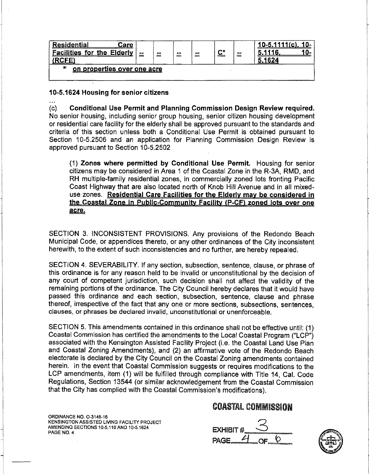| <b>Residential</b><br>∶are<br><b>Eacilities for the</b><br>Fidariy<br>ACC | $\sim$<br>= | --<br>= | $\blacksquare$<br>-- | --<br>= | $\underline{\underline{\mathbf{C}}^{\star}}$ | -- | 11-<br>1624 |
|---------------------------------------------------------------------------|-------------|---------|----------------------|---------|----------------------------------------------|----|-------------|
| $\ast$<br>on properties over one acre                                     |             |         |                      |         |                                              |    |             |

10-5.1624 Housing for senior citizens

 $(c)$ Conditional Use Permit and Planning Commission Design Review required. No senior housing, including senior group housing, senior citizen housing development or residential care facility for the elderly shall be approved pursuant to the standards and criteria of this section unless both a Conditional Use Permit is obtained pursuant to Section 10-5.2506 and an application for Planning Commission Design Review is approved pursuant to Section 10-5.2502

(1) Zones where permitted by Conditional Use Permit. Housing for senior citizens may be considered in Area 1 of the Coastal Zone in the R-3A, RMD, and RH multiple-family residential zones, in commercially zoned lots fronting Pacific Coast Highway that are also located north of Knob Hill Avenue and in all mixeduse zones. Residential Care Facilities for the Elderly may be considered in the Coastal Zone in Public-Community Facility (P-CF) zoned lots over one acre.

SECTION 3. INCONSISTENT PROVISIONS. Any provisions of the Redondo Beach Municipal Code, or appendices thereto, or any other ordinances of the City inconsistent herewith, to the extent of such inconsistencies and no further, are hereby repealed.

SECTION 4. SEVERABILITY. If any section, subsection, sentence, clause, or phrase of this ordinance is for any reason held to be invalid or unconstitutional by the decision of any court of competent jurisdiction, such decision shall not affect the validity of the remaining portions of the ordinance. The City Council hereby declares that it would have passed this ordinance and each section, subsection, sentence, clause and phrase thereof, irrespective of the fact that any one or more sections, subsections, sentences, clauses, or phrases be declared invalid, unconstitutional or unenforceable.

SECTION 5. This amendments contained in this ordinance shall not be effective until: (1) Coastal Commission has certified the amendments to the Local Coastal Program ("LCP") associated with the Kensington Assisted Facility Project (i.e. the Coastal Land Use Plan and Coastal Zoning Amendments), and (2) an affirmative vote of the Redondo Beach electorate is declared by the City Council on the Coastal Zoning amendments contained herein. In the event that Coastal Commission suggests or requires modifications to the LCP amendments, item (1) will be fulfilled through compliance with Title 14. Cal. Code Regulations, Section 13544 (or similar acknowledgement from the Coastal Commission that the City has complied with the Coastal Commission's modifications).

ORDINANCE NO. O-3148-16 KENSINGTON ASSISTED LIVING FACILITY PROJECT AMENDING SECTIONS 10-5,110 AND 10-5.1624 PAGE NO. 4



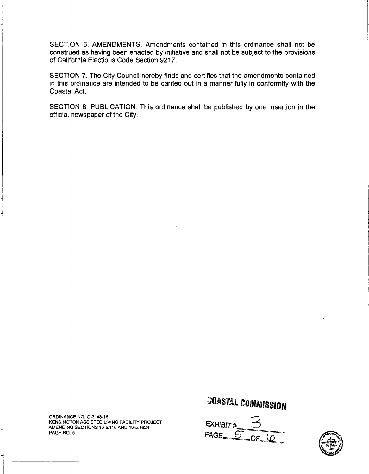SECTION 6. AMENDMENTS. Amendments contained in this ordinance shall not be construed as having been enacted by initiative and shall not be subject to the provisions of California Elections Code Section 9217.

SECTION 7. The City Council hereby finds and certifies that the amendments contained in this ordinance are intended to be carried out in a manner fully in conformity with the Coastal Act.

SECTION 8. PUBLICATION. This ordinance shall be published by one insertion in the official newspaper of the City.

ORDINANCE NO. O-3148-16 KENSINGTON ASSISTED LIVING FACILITY PROJECT AMENDING SECTIONS 10-5.110 AND 10-5.1624 PAGE NO. 5

**EXHIBIT #** PAGE  $\overline{5}$  $\Omega$ 

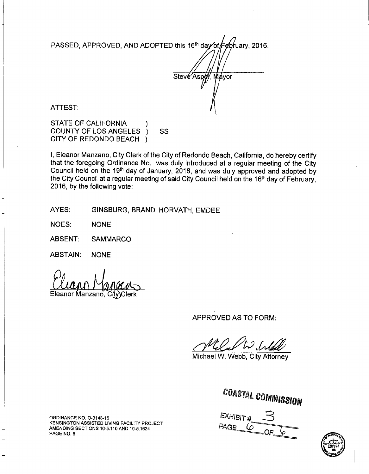PASSED, APPROVED, AND ADOPTED this 16<sup>th</sup> day of **February**, 2016.

Steve Aspey Máyor

**ATTEST:** 

**STATE OF CALIFORNIA COUNTY OF LOS ANGELES** SS CITY OF REDONDO BEACH )

I, Eleanor Manzano, City Clerk of the City of Redondo Beach, California, do hereby certify that the foregoing Ordinance No. was duly introduced at a regular meeting of the City Council held on the 19th day of January, 2016, and was duly approved and adopted by the City Council at a regular meeting of said City Council held on the 16<sup>th</sup> day of February, 2016, by the following vote:

AYES: GINSBURG, BRAND, HORVATH, EMDEE

**NOES: NONE** 

ABSENT: **SAMMARCO** 

**ABSTAIN: NONE** 

Eleanor Manzano. Citv\Clerk

APPROVED AS TO FORM:

Michael W. Webb, City Attorney

**COASTAL COMMISSION** 

**EXHIBIT #** PAGE  $6$ 



ORDINANCE NO. O-3148-16 KENSINGTON ASSISTED LIVING FACILITY PROJECT AMENDING SECTIONS 10-5.110 AND 10-5.1624 PAGE NO. 6